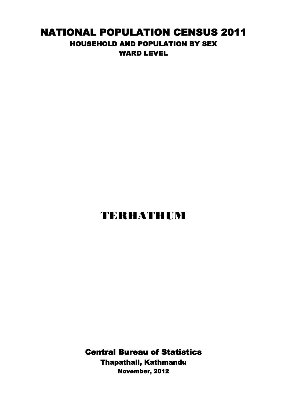## NATIONAL POPULATION CENSUS 2011 HOUSEHOLD AND POPULATION BY SEX WARD LEVEL

## TERHATHUM

Central Bureau of Statistics Thapathali, Kathmandu November, 2012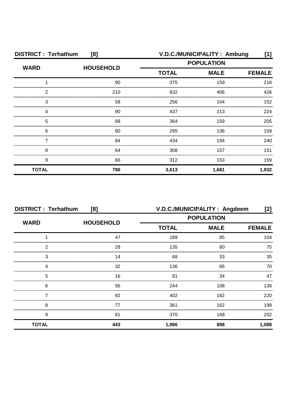| <b>DISTRICT: Terhathum</b><br>[8] |                  | V.D.C./MUNICIPALITY: Ambung<br>[1]               |       |               |
|-----------------------------------|------------------|--------------------------------------------------|-------|---------------|
| <b>WARD</b>                       | <b>HOUSEHOLD</b> | <b>POPULATION</b><br><b>MALE</b><br><b>TOTAL</b> |       |               |
|                                   |                  |                                                  |       | <b>FEMALE</b> |
|                                   | 90               | 375                                              | 159   | 216           |
| 2                                 | 210              | 832                                              | 406   | 426           |
| З                                 | 58               | 256                                              | 104   | 152           |
|                                   | 90               | 437                                              | 213   | 224           |
| 5                                 | 68               | 364                                              | 159   | 205           |
| 6                                 | 60               | 295                                              | 136   | 159           |
|                                   | 84               | 434                                              | 194   | 240           |
| 8                                 | 64               | 308                                              | 157   | 151           |
| 9                                 | 66               | 312                                              | 153   | 159           |
| <b>TOTAL</b>                      | 790              | 3,613                                            | 1,681 | 1,932         |

| <b>DISTRICT: Terhathum</b><br>[8] |                  | V.D.C./MUNICIPALITY: Angdeem<br>[2]              |     |               |
|-----------------------------------|------------------|--------------------------------------------------|-----|---------------|
| <b>WARD</b>                       |                  | <b>POPULATION</b><br><b>TOTAL</b><br><b>MALE</b> |     |               |
|                                   | <b>HOUSEHOLD</b> |                                                  |     | <b>FEMALE</b> |
|                                   | 47               | 189                                              | 85  | 104           |
| 2                                 | 28               | 135                                              | 60  | 75            |
| 3                                 | 14               | 68                                               | 33  | 35            |
| Δ                                 | 32               | 136                                              | 66  | 70            |
| 5                                 | 16               | 81                                               | 34  | 47            |
| 6                                 | 56               | 244                                              | 108 | 136.          |
|                                   | 92               | 402                                              | 182 | 220           |
| 8                                 | 77               | 361                                              | 162 | 199           |
| 9                                 | 81               | 370                                              | 168 | 202           |
| <b>TOTAL</b>                      | 443              | 1,986                                            | 898 | 1,088         |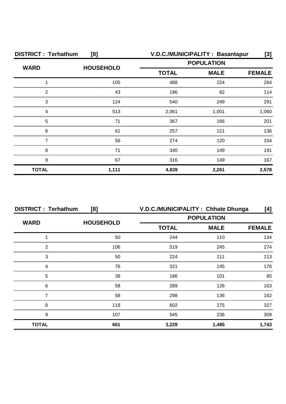| <b>DISTRICT: Terhathum</b><br>[8] |                  |                             | V.D.C./MUNICIPALITY: Basantapur | $[3]$ |
|-----------------------------------|------------------|-----------------------------|---------------------------------|-------|
| <b>WARD</b>                       | <b>HOUSEHOLD</b> |                             | <b>POPULATION</b>               |       |
|                                   |                  | <b>TOTAL</b><br><b>MALE</b> | <b>FEMALE</b>                   |       |
|                                   | 105              | 488                         | 224                             | 264   |
| 2                                 | 43               | 196                         | 82                              | 114   |
| 3                                 | 124              | 540                         | 249                             | 291   |
| Δ                                 | 513              | 2,061                       | 1,001                           | 1,060 |
| 5                                 | 71               | 367                         | 166                             | 201   |
| 6                                 | 61               | 257                         | 121                             | 136   |
|                                   | 56               | 274                         | 120                             | 154   |
| 8                                 | 71               | 340                         | 149                             | 191   |
| 9                                 | 67               | 316                         | 149                             | 167   |
| <b>TOTAL</b>                      | 1,111            | 4,839                       | 2,261                           | 2,578 |

| <b>DISTRICT: Terhathum</b><br>[8] |                  | V.D.C./MUNICIPALITY: Chhate Dhunga |             | [4]           |
|-----------------------------------|------------------|------------------------------------|-------------|---------------|
|                                   |                  | <b>POPULATION</b>                  |             |               |
| <b>WARD</b>                       | <b>HOUSEHOLD</b> | <b>TOTAL</b>                       | <b>MALE</b> | <b>FEMALE</b> |
|                                   | 50               | 244                                | 110         | 134           |
| 2                                 | 106              | 519                                | 245         | 274           |
| 3                                 | 50               | 224                                | 111         | 113           |
|                                   | 76               | 321                                | 145         | 176           |
| 5                                 | 38               | 186                                | 101         | 85            |
| 6                                 | 58               | 289                                | 126         | 163.          |
|                                   | 58               | 298                                | 136         | 162           |
| 8                                 | 118              | 602                                | 275         | 327           |
| 9                                 | 107              | 545                                | 236         | 309           |
| <b>TOTAL</b>                      | 661              | 3,228                              | 1,485       | 1,743         |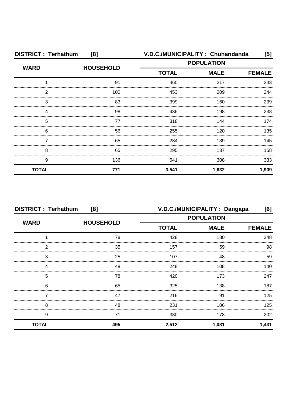| <b>DISTRICT: Terhathum</b><br>[8] |                  | V.D.C./MUNICIPALITY: Chuhandanda                 |               | [5]   |
|-----------------------------------|------------------|--------------------------------------------------|---------------|-------|
| <b>WARD</b>                       | <b>HOUSEHOLD</b> | <b>POPULATION</b><br><b>TOTAL</b><br><b>MALE</b> |               |       |
|                                   |                  |                                                  | <b>FEMALE</b> |       |
|                                   | 91               | 460                                              | 217           | 243   |
| 2                                 | 100              | 453                                              | 209           | 244   |
| 3                                 | 83               | 399                                              | 160           | 239   |
| Δ                                 | 98               | 436                                              | 198           | 238   |
| 5                                 | 77               | 318                                              | 144           | 174   |
| 6                                 | 56               | 255                                              | 120           | 135   |
|                                   | 65               | 284                                              | 139           | 145   |
| 8                                 | 65               | 295                                              | 137           | 158   |
| 9                                 | 136              | 641                                              | 308           | 333   |
| <b>TOTAL</b>                      | 771              | 3,541                                            | 1,632         | 1,909 |

| <b>DISTRICT: Terhathum</b><br>[8] |                  | V.D.C./MUNICIPALITY: Dangapa<br>[6]              |       |               |
|-----------------------------------|------------------|--------------------------------------------------|-------|---------------|
| <b>WARD</b>                       | <b>HOUSEHOLD</b> | <b>POPULATION</b><br><b>TOTAL</b><br><b>MALE</b> |       |               |
|                                   |                  |                                                  |       | <b>FEMALE</b> |
|                                   | 78               | 428                                              | 180   | 248           |
| 2                                 | 35               | 157                                              | 59    | 98            |
| 3                                 | 25               | 107                                              | 48    | 59            |
|                                   | 48               | 248                                              | 108   | 140           |
| 5                                 | 78               | 420                                              | 173   | 247           |
| 6                                 | 65               | 325                                              | 138   | 187           |
|                                   | 47               | 216                                              | .91   | 125           |
| 8                                 | 48               | 231                                              | 106   | 125           |
| 9                                 | 71               | 380                                              | 178   | 202           |
| <b>TOTAL</b>                      | 495              | 2,512                                            | 1,081 | 1,431         |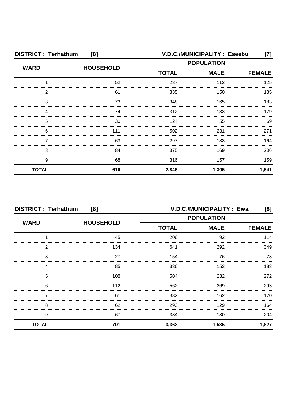| <b>DISTRICT: Terhathum</b><br>[8] |                  |                   | V.D.C./MUNICIPALITY: Eseebu | [7]           |
|-----------------------------------|------------------|-------------------|-----------------------------|---------------|
| <b>WARD</b>                       | <b>HOUSEHOLD</b> | <b>POPULATION</b> |                             |               |
|                                   |                  | <b>TOTAL</b>      | <b>MALE</b>                 | <b>FEMALE</b> |
|                                   | 52               | 237               | 112                         | 125           |
| 2                                 | 61               | 335               | 150                         | 185           |
| 3                                 | 73               | 348               | 165                         | 183           |
|                                   | 74               | 312               | 133                         | 179           |
| 5                                 | 30               | 124               | 55                          | 69            |
| 6                                 | 111              | 502               | 231                         | 271           |
|                                   | 63               | 297               | 133                         | 164           |
| 8                                 | 84               | 375               | 169                         | 206           |
| 9                                 | 68               | 316               | 157                         | 159           |
| <b>TOTAL</b>                      | 616              | 2,846             | 1,305                       | 1,541         |

| <b>DISTRICT: Terhathum</b><br>[8] |                  | V.D.C./MUNICIPALITY: Ewa<br>[8] |                   |               |
|-----------------------------------|------------------|---------------------------------|-------------------|---------------|
| <b>WARD</b>                       |                  |                                 | <b>POPULATION</b> |               |
|                                   | <b>HOUSEHOLD</b> | <b>TOTAL</b>                    | <b>MALE</b>       | <b>FEMALE</b> |
|                                   | 45               | 206                             | 92                | 114           |
| 2                                 | 134              | 641                             | 292               | 349           |
| 3                                 | 27               | 154                             | 76                | 78            |
|                                   | 85               | 336                             | 153               | 183           |
| 5                                 | 108              | 504                             | 232               | 272           |
| 6                                 | 112              | 562                             | 269               | 293           |
|                                   | 61               | 332                             | 162               | 170           |
| 8                                 | 62               | 293                             | 129               | 164           |
| 9                                 | 67               | 334                             | 130               | 204           |
| <b>TOTAL</b>                      | 701              | 3,362                           | 1,535             | 1,827         |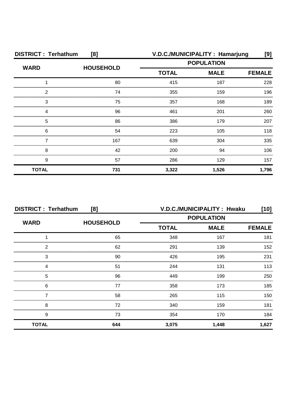| <b>DISTRICT: Terhathum</b><br>[8] |                  |                                                  | V.D.C./MUNICIPALITY: Hamarjung | [9]   |
|-----------------------------------|------------------|--------------------------------------------------|--------------------------------|-------|
| <b>WARD</b>                       | <b>HOUSEHOLD</b> | <b>POPULATION</b><br><b>TOTAL</b><br><b>MALE</b> |                                |       |
|                                   |                  |                                                  | <b>FEMALE</b>                  |       |
|                                   | 80               | 415                                              | 187                            | 228   |
| 2                                 | 74               | 355                                              | 159                            | 196   |
| 3                                 | 75               | 357                                              | 168                            | 189   |
| Δ                                 | 96               | 461                                              | 201                            | 260   |
| 5                                 | 86               | 386                                              | 179                            | 207   |
| 6                                 | 54               | 223                                              | 105                            | 118   |
|                                   | 167              | 639                                              | 304                            | 335   |
| 8                                 | 42               | 200                                              | 94                             | 106   |
| 9                                 | 57               | 286                                              | 129                            | 157   |
| <b>TOTAL</b>                      | 731              | 3,322                                            | 1,526                          | 1,796 |

| <b>DISTRICT: Terhathum</b><br>[8] |                  | V.D.C./MUNICIPALITY: Hwaku<br>[10] |             |               |
|-----------------------------------|------------------|------------------------------------|-------------|---------------|
| <b>WARD</b>                       | <b>HOUSEHOLD</b> | <b>POPULATION</b>                  |             |               |
|                                   |                  | <b>TOTAL</b>                       | <b>MALE</b> | <b>FEMALE</b> |
|                                   | 65               | 348                                | 167         | 181           |
| 2                                 | 62               | 291                                | 139         | 152           |
| 3                                 | 90               | 426                                | 195         | 231           |
| 4                                 | 51               | 244                                | 131         | 113           |
| 5                                 | 96               | 449                                | 199         | 250           |
| 6                                 | 77               | 358                                | 173         | 185           |
|                                   | 58               | 265                                | 115         | 150           |
| 8                                 | 72               | 340                                | 159         | 181           |
| 9                                 | 73               | 354                                | 170         | 184           |
| <b>TOTAL</b>                      | 644              | 3,075                              | 1,448       | 1,627         |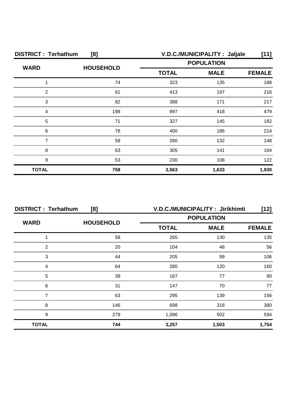| <b>DISTRICT: Terhathum</b><br>[8] |                  |                   | V.D.C./MUNICIPALITY : Jaljale | [11]          |
|-----------------------------------|------------------|-------------------|-------------------------------|---------------|
| <b>WARD</b>                       | <b>HOUSEHOLD</b> | <b>POPULATION</b> |                               |               |
|                                   |                  | <b>TOTAL</b>      | <b>MALE</b>                   | <b>FEMALE</b> |
|                                   | 74               | 323               | 135                           | 188           |
| 2                                 | 81               | 413               | 197                           | 216           |
| 3                                 | 82               | 388               | 171                           | 217           |
| 4                                 | 198              | 897               | 418                           | 479           |
| 5                                 | 71               | 327               | 145                           | 182           |
| 6                                 | 78               | 400               | 186                           | 214           |
|                                   | 58               | 280               | 132                           | 148           |
| 8                                 | 63               | 305               | 141                           | 164           |
| 9                                 | 53               | 230               | 108                           | 122           |
| <b>TOTAL</b>                      | 758              | 3,563             | 1,633                         | 1,930         |

| <b>DISTRICT: Terhathum</b><br>[8] |                  | V.D.C./MUNICIPALITY: Jirikhimti<br>[12] |             |               |
|-----------------------------------|------------------|-----------------------------------------|-------------|---------------|
| <b>WARD</b>                       |                  | <b>POPULATION</b>                       |             |               |
|                                   | <b>HOUSEHOLD</b> | <b>TOTAL</b>                            | <b>MALE</b> | <b>FEMALE</b> |
|                                   | 58               | 265                                     | 130         | 135           |
| 2                                 | 20               | 104                                     | 48          | 56            |
| 3                                 | 44               | 205                                     | 99          | 106           |
|                                   | 64               | 280                                     | 120         | 160           |
| 5                                 | 39               | 167                                     | 77          | 90            |
| 6                                 | 31               | 147                                     | 70          | 77            |
|                                   | 63               | 295                                     | 139         | 156           |
| 8                                 | 146              | 698                                     | 318         | 380           |
| 9                                 | 279              | 1,096                                   | 502         | 594           |
| <b>TOTAL</b>                      | 744              | 3,257                                   | 1,503       | 1,754         |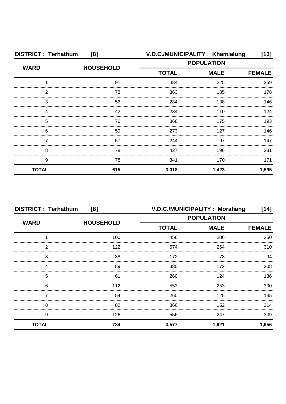| <b>DISTRICT: Terhathum</b><br>[8] |                  |                                                  | V.D.C./MUNICIPALITY: Khamlalung | [13]          |
|-----------------------------------|------------------|--------------------------------------------------|---------------------------------|---------------|
| <b>WARD</b>                       | <b>HOUSEHOLD</b> | <b>POPULATION</b><br><b>TOTAL</b><br><b>MALE</b> |                                 |               |
|                                   |                  |                                                  |                                 | <b>FEMALE</b> |
|                                   | 91               | 484                                              | 225                             | 259           |
| 2                                 | 78               | 363                                              | 185                             | 178           |
| 3                                 | 56               | 284                                              | 138                             | 146           |
| Δ                                 | 42               | 234                                              | 110                             | 124           |
| 5                                 | 76               | 368                                              | 175                             | 193           |
| 6                                 | 59               | 273                                              | 127                             | 146           |
|                                   | 57               | 244                                              | 97                              | 147           |
| 8                                 | 78               | 427                                              | 196                             | 231           |
| 9                                 | 78               | 341                                              | 170                             | 171           |
| <b>TOTAL</b>                      | 615              | 3,018                                            | 1,423                           | 1,595         |

| <b>DISTRICT: Terhathum</b><br>[8] |                  |                   | V.D.C./MUNICIPALITY: Morahang | [14]          |
|-----------------------------------|------------------|-------------------|-------------------------------|---------------|
| <b>WARD</b>                       |                  | <b>POPULATION</b> |                               |               |
|                                   | <b>HOUSEHOLD</b> | <b>TOTAL</b>      | <b>MALE</b>                   | <b>FEMALE</b> |
|                                   | 100              | 456               | 206                           | 250           |
| っ                                 | 122              | 574               | 264                           | 310           |
| 3                                 | 38               | 172               | 78                            | 94            |
|                                   | 89               | 380               | 172                           | 208           |
| 5                                 | 61               | 260               | 124                           | 136           |
| 6                                 | 112              | 553               | 253                           | 300           |
|                                   | 54               | 260               | 125                           | 135           |
| 8                                 | 82               | 366               | 152                           | 214           |
| 9                                 | 126              | 556               | 247                           | 309           |
| <b>TOTAL</b>                      | 784              | 3,577             | 1,621                         | 1,956         |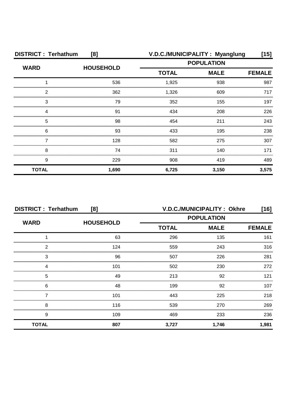| <b>DISTRICT: Terhathum</b><br>[8] |                  |                   | V.D.C./MUNICIPALITY: Myanglung | [15]          |
|-----------------------------------|------------------|-------------------|--------------------------------|---------------|
| <b>WARD</b>                       | <b>HOUSEHOLD</b> | <b>POPULATION</b> |                                |               |
|                                   |                  | <b>TOTAL</b>      | <b>MALE</b>                    | <b>FEMALE</b> |
|                                   | 536              | 1,925             | 938                            | 987           |
| 2                                 | 362              | 1,326             | 609                            | 717           |
| 3                                 | 79               | 352               | 155                            | 197           |
| 4                                 | .91              | 434               | 208                            | 226           |
| 5                                 | 98               | 454               | 211                            | 243           |
| 6                                 | 93               | 433               | 195                            | 238           |
|                                   | 128              | 582               | 275                            | 307           |
| 8                                 | 74               | 311               | 140                            | 171           |
| 9                                 | 229              | 908               | 419                            | 489           |
| <b>TOTAL</b>                      | 1,690            | 6,725             | 3,150                          | 3,575         |

|              | <b>DISTRICT: Terhathum</b><br>[8] |              | V.D.C./MUNICIPALITY: Okhre | [16]          |
|--------------|-----------------------------------|--------------|----------------------------|---------------|
| <b>WARD</b>  | <b>HOUSEHOLD</b>                  |              | <b>POPULATION</b>          |               |
|              |                                   | <b>TOTAL</b> | <b>MALE</b>                | <b>FEMALE</b> |
|              | 63                                | 296          | 135                        | 161           |
| 2            | 124                               | 559          | 243                        | 316           |
| 3            | 96                                | 507          | 226                        | 281           |
|              | 101                               | 502          | 230                        | 272           |
| 5            | 49                                | 213          | 92                         | 121           |
| 6            | 48                                | 199          | 92                         | 107           |
|              | 101                               | 443          | 225                        | 218           |
| 8            | 116                               | 539          | 270                        | 269           |
| 9            | 109                               | 469          | 233                        | 236           |
| <b>TOTAL</b> | 807                               | 3,727        | 1,746                      | 1,981         |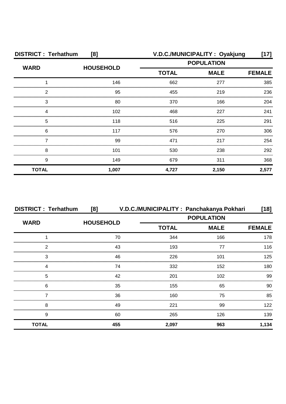| <b>DISTRICT: Terhathum</b><br>[8] |                  |                                                  | V.D.C./MUNICIPALITY: Oyakjung | $[17]$        |
|-----------------------------------|------------------|--------------------------------------------------|-------------------------------|---------------|
| <b>WARD</b>                       | <b>HOUSEHOLD</b> | <b>POPULATION</b><br><b>MALE</b><br><b>TOTAL</b> |                               |               |
|                                   |                  |                                                  |                               | <b>FEMALE</b> |
|                                   | 146              | 662                                              | 277                           | 385           |
| 2                                 | 95               | 455                                              | 219                           | 236           |
| 3                                 | 80               | 370                                              | 166                           | 204           |
| 4                                 | 102              | 468                                              | 227                           | 241           |
| 5                                 | 118              | 516                                              | 225                           | 291           |
| 6                                 | 117              | 576                                              | 270                           | 306           |
|                                   | 99               | 471                                              | 217                           | 254           |
| 8                                 | 101              | 530                                              | 238                           | 292           |
| 9                                 | 149              | 679                                              | 311                           | 368           |
| <b>TOTAL</b>                      | 1,007            | 4,727                                            | 2,150                         | 2,577         |

| <b>DISTRICT: Terhathum</b> | [8]              |                   | V.D.C./MUNICIPALITY: Panchakanya Pokhari | $[18]$        |
|----------------------------|------------------|-------------------|------------------------------------------|---------------|
| <b>WARD</b>                |                  | <b>POPULATION</b> |                                          |               |
|                            | <b>HOUSEHOLD</b> | <b>TOTAL</b>      | <b>MALE</b>                              | <b>FEMALE</b> |
|                            | 70               | 344               | 166                                      | 178           |
| 2                          | 43               | 193               | 77                                       | 116           |
| 3                          | 46               | 226               | 101                                      | 125           |
|                            | 74               | 332               | 152                                      | 180           |
| 5                          | 42               | 201               | 102                                      | 99            |
| 6                          | 35               | 155               | 65                                       | 90.           |
|                            | 36               | 160               | 75                                       | 85            |
| 8                          | 49               | 221               | 99                                       | 122           |
| 9                          | 60               | 265               | 126                                      | 139           |
| <b>TOTAL</b>               | 455              | 2,097             | 963                                      | 1,134         |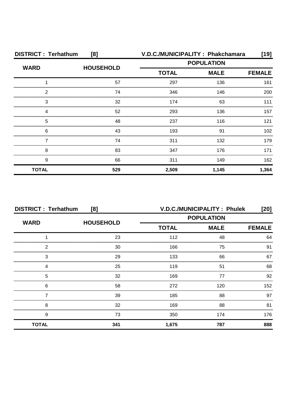| <b>DISTRICT: Terhathum</b><br>[8] |                  |              | V.D.C./MUNICIPALITY: Phakchamara | [19]          |
|-----------------------------------|------------------|--------------|----------------------------------|---------------|
| <b>WARD</b>                       | <b>HOUSEHOLD</b> |              | <b>POPULATION</b>                |               |
|                                   |                  | <b>TOTAL</b> | <b>MALE</b>                      | <b>FEMALE</b> |
|                                   | 57               | 297          | 136                              | 161           |
| 2                                 | 74               | 346          | 146                              | 200           |
| 3                                 | 32               | 174          | 63                               | 111           |
| Δ                                 | 52               | 293          | 136                              | 157           |
| 5                                 | 48               | 237          | 116                              | 121           |
| 6                                 | 43               | 193          | .91                              | 102           |
|                                   | 74               | 311          | 132                              | 179           |
| 8                                 | 83               | 347          | 176                              | 171           |
| 9                                 | 66               | 311          | 149                              | 162           |
| <b>TOTAL</b>                      | 529              | 2,509        | 1,145                            | 1,364         |

| <b>DISTRICT: Terhathum</b><br>[8] |                  | <b>V.D.C./MUNICIPALITY: Phulek</b><br>[20] |             |               |
|-----------------------------------|------------------|--------------------------------------------|-------------|---------------|
| <b>WARD</b>                       | <b>HOUSEHOLD</b> | <b>POPULATION</b>                          |             |               |
|                                   |                  | <b>TOTAL</b>                               | <b>MALE</b> | <b>FEMALE</b> |
|                                   | 23               | 112                                        | 48          | 64            |
| ◠                                 | 30               | 166                                        | 75          | 91            |
| 3                                 | 29               | 133                                        | 66          | 67            |
|                                   | 25               | 119                                        | 51          | 68            |
| 5                                 | 32               | 169                                        | 77          | 92            |
| 6                                 | 58               | 272                                        | 120         | 152           |
|                                   | 39               | 185                                        | 88          | 97            |
| 8                                 | 32               | 169                                        | 88          | 81            |
| 9                                 | 73               | 350                                        | 174         | 176           |
| <b>TOTAL</b>                      | 341              | 1,675                                      | 787         | 888           |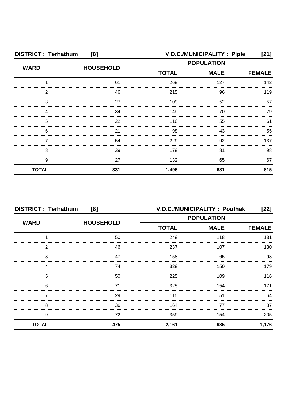| <b>DISTRICT: Terhathum</b><br>[8] |                  |                             | V.D.C./MUNICIPALITY : Piple | [21] |
|-----------------------------------|------------------|-----------------------------|-----------------------------|------|
| <b>WARD</b>                       | <b>HOUSEHOLD</b> | <b>POPULATION</b>           |                             |      |
|                                   |                  | <b>TOTAL</b><br><b>MALE</b> | <b>FEMALE</b>               |      |
|                                   | 61               | 269                         | 127                         | 142  |
| 2                                 | 46               | 215                         | 96                          | 119  |
| 3                                 | 27               | 109                         | 52                          | 57   |
| Δ                                 | 34               | 149                         | 70                          | 79   |
| 5                                 | 22               | 116                         | 55                          | 61   |
| 6                                 | 21               | 98                          | 43                          | 55   |
|                                   | 54               | 229                         | 92                          | 137  |
| 8                                 | 39               | 179                         | 81                          | 98   |
| 9                                 | 27               | 132                         | 65                          | 67   |
| <b>TOTAL</b>                      | 331              | 1,496                       | 681                         | 815  |

| <b>DISTRICT: Terhathum</b><br>[8] |                  | V.D.C./MUNICIPALITY: Pouthak<br>[22] |             |               |
|-----------------------------------|------------------|--------------------------------------|-------------|---------------|
| <b>WARD</b>                       | <b>HOUSEHOLD</b> | <b>POPULATION</b>                    |             |               |
|                                   |                  | <b>TOTAL</b>                         | <b>MALE</b> | <b>FEMALE</b> |
|                                   | 50               | 249                                  | 118         | 131           |
| 2                                 | 46               | 237                                  | 107         | 130           |
| 3                                 | 47               | 158                                  | 65          | 93            |
| 4                                 | 74               | 329                                  | 150         | 179           |
| 5                                 | 50               | 225                                  | 109         | 116           |
| 6                                 | 71               | 325                                  | 154         | 171           |
|                                   | 29               | 115                                  | 51          | 64            |
| 8                                 | 36               | 164                                  | 77          | 87            |
| 9                                 | 72               | 359                                  | 154         | 205           |
| <b>TOTAL</b>                      | 475              | 2,161                                | 985         | 1,176         |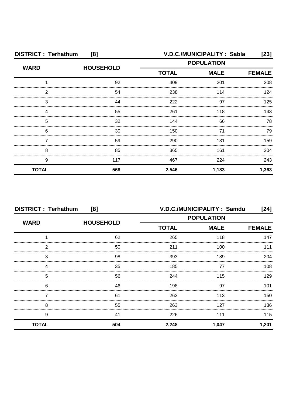| <b>DISTRICT: Terhathum</b><br>[8] |                  |              | V.D.C./MUNICIPALITY: Sabla | [23]          |
|-----------------------------------|------------------|--------------|----------------------------|---------------|
| <b>WARD</b>                       | <b>HOUSEHOLD</b> |              | <b>POPULATION</b>          |               |
|                                   |                  | <b>TOTAL</b> | <b>MALE</b>                | <b>FEMALE</b> |
|                                   | 92               | 409          | 201                        | 208           |
| 2                                 | 54               | 238          | 114                        | 124           |
| 3                                 | 44               | 222          | 97                         | 125           |
|                                   | 55               | 261          | 118                        | 143           |
| 5                                 | 32               | 144          | 66                         | 78            |
| 6                                 | 30               | 150          | 71                         | 79            |
|                                   | 59               | 290          | 131                        | 159           |
| 8                                 | 85               | 365          | 161                        | 204           |
| 9                                 | 117              | 467          | 224                        | 243           |
| <b>TOTAL</b>                      | 568              | 2,546        | 1,183                      | 1,363         |

| <b>DISTRICT: Terhathum</b><br>[8] |                  | V.D.C./MUNICIPALITY: Samdu<br>$[24]$ |                   |               |
|-----------------------------------|------------------|--------------------------------------|-------------------|---------------|
| <b>WARD</b>                       | <b>HOUSEHOLD</b> |                                      | <b>POPULATION</b> |               |
|                                   |                  | <b>TOTAL</b>                         | <b>MALE</b>       | <b>FEMALE</b> |
|                                   | 62               | 265                                  | 118               | 147           |
| 2                                 | 50               | 211                                  | 100               |               |
| 3                                 | 98               | 393                                  | 189               | 204           |
| Δ                                 | 35               | 185                                  | 77                | 108           |
| 5                                 | 56               | 244                                  | 115               | 129           |
| 6                                 | 46               | 198                                  | 97                | 101           |
|                                   | 61               | 263                                  | 113               | 150           |
| 8                                 | 55               | 263                                  | 127               | 136           |
| 9                                 | 41               | 226                                  | 111               | 115           |
| <b>TOTAL</b>                      | 504              | 2,248                                | 1,047             | 1,201         |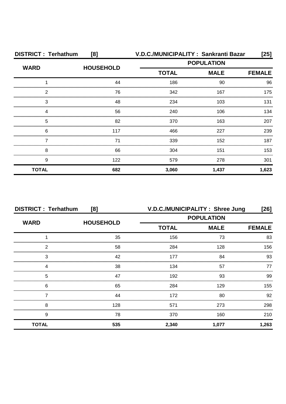| <b>DISTRICT: Terhathum</b> | [8]              |                   | V.D.C./MUNICIPALITY: Sankranti Bazar | $[25]$        |
|----------------------------|------------------|-------------------|--------------------------------------|---------------|
|                            | <b>HOUSEHOLD</b> | <b>POPULATION</b> |                                      |               |
| <b>WARD</b>                |                  | <b>TOTAL</b>      | <b>MALE</b>                          | <b>FEMALE</b> |
|                            | 44               | 186               | 90                                   | 96            |
| 2                          | 76               | 342               | 167                                  | 175           |
| 3                          | 48               | 234               | 103                                  | 131           |
|                            | 56               | 240               | 106                                  | 134           |
| 5                          | 82               | 370               | 163                                  | 207           |
| 6                          | 117              | 466               | 227                                  | 239           |
|                            | 71               | 339               | 152                                  | 187           |
| 8                          | 66               | 304               | 151                                  | 153           |
| 9                          | 122              | 579               | 278                                  | 301           |
| <b>TOTAL</b>               | 682              | 3,060             | 1,437                                | 1,623         |

| <b>DISTRICT: Terhathum</b> | [8]              | V.D.C./MUNICIPALITY: Shree Jung |             | $[26]$        |
|----------------------------|------------------|---------------------------------|-------------|---------------|
| <b>WARD</b>                | <b>HOUSEHOLD</b> | <b>POPULATION</b>               |             |               |
|                            |                  | <b>TOTAL</b>                    | <b>MALE</b> | <b>FEMALE</b> |
|                            | 35               | 156                             | 73          | 83            |
| 2                          | 58               | 284                             | 128         | 156           |
| 3                          | 42               | 177                             | 84          | 93            |
|                            | 38               | 134                             | 57          | 77            |
| 5                          | 47               | 192                             | 93          | 99            |
| 6                          | 65               | 284                             | 129         | 155           |
|                            | 44               | 172                             | 80          | 92            |
| 8                          | 128              | 571                             | 273         | 298           |
| 9                          | 78               | 370                             | 160         | 210           |
| <b>TOTAL</b>               | 535              | 2,340                           | 1,077       | 1,263         |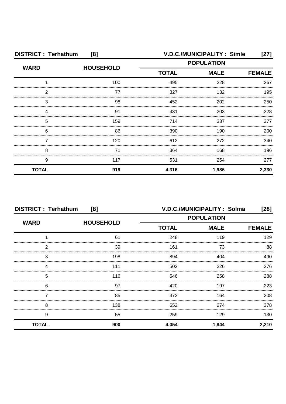| <b>DISTRICT: Terhathum</b><br>[8] |                  |              | <b>V.D.C./MUNICIPALITY: Simle</b> | [27]          |
|-----------------------------------|------------------|--------------|-----------------------------------|---------------|
|                                   | <b>HOUSEHOLD</b> |              | <b>POPULATION</b>                 |               |
| <b>WARD</b>                       |                  | <b>TOTAL</b> | <b>MALE</b>                       | <b>FEMALE</b> |
|                                   | 100              | 495          | 228                               | 267           |
| 2                                 | 77               | 327          | 132                               | 195           |
| 3                                 | 98               | 452          | 202                               | 250           |
| Δ                                 | .91              | 431          | 203                               | 228           |
| 5                                 | 159              | 714          | 337                               | 377           |
| 6                                 | 86               | 390          | 190                               | 200           |
|                                   | 120              | 612          | 272                               | 340           |
| 8                                 | 71               | 364          | 168                               | 196           |
| 9                                 | 117              | 531          | 254                               | 277           |
| <b>TOTAL</b>                      | 919              | 4,316        | 1,986                             | 2,330         |

| <b>DISTRICT: Terhathum</b><br>[8] |                  |              | V.D.C./MUNICIPALITY: Solma | [28]          |
|-----------------------------------|------------------|--------------|----------------------------|---------------|
| <b>WARD</b>                       |                  |              | <b>POPULATION</b>          |               |
|                                   | <b>HOUSEHOLD</b> | <b>TOTAL</b> | <b>MALE</b>                | <b>FEMALE</b> |
|                                   | 61               | 248          | 119                        | 129           |
| 2                                 | 39               | 161          | 73                         | 88            |
| 3                                 | 198              | 894          | 404                        | 490           |
|                                   | 111              | 502          | 226                        | 276           |
| 5                                 | 116              | 546          | 258                        | 288           |
| 6                                 | 97               | 420          | 197                        | 223           |
|                                   | 85               | 372          | 164                        | 208           |
| 8                                 | 138              | 652          | 274                        | 378           |
| 9                                 | 55               | 259          | 129                        | 130           |
| <b>TOTAL</b>                      | 900              | 4,054        | 1,844                      | 2,210         |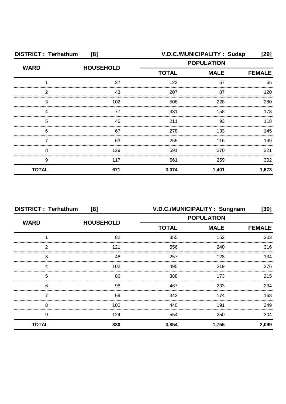| <b>DISTRICT: Terhathum</b><br>[8] |                  | V.D.C./MUNICIPALITY: Sudap<br>[29] |                   |               |
|-----------------------------------|------------------|------------------------------------|-------------------|---------------|
| <b>WARD</b>                       | <b>HOUSEHOLD</b> |                                    | <b>POPULATION</b> |               |
|                                   |                  | <b>TOTAL</b>                       | <b>MALE</b>       | <b>FEMALE</b> |
|                                   | 27               | 122                                | 57                | 65            |
| 2                                 | 43               | 207                                | 87                | 120           |
| 3                                 | 102              | 508                                | 228               | 280           |
| 4                                 | 77               | 331                                | 158               | 173           |
| 5                                 | 46               | 211                                | 93                | 118           |
| 6                                 | 67               | 278                                | 133               | 145           |
|                                   | 63               | 265                                | 116               | 149           |
| 8                                 | 129              | 591                                | 270               | 321           |
| 9                                 | 117              | 561                                | 259               | 302           |
| <b>TOTAL</b>                      | 671              | 3,074                              | 1,401             | 1,673         |

| <b>DISTRICT: Terhathum</b><br>[8] |                  | V.D.C./MUNICIPALITY: Sungnam<br>[30] |                   |               |
|-----------------------------------|------------------|--------------------------------------|-------------------|---------------|
|                                   | <b>HOUSEHOLD</b> |                                      | <b>POPULATION</b> |               |
| <b>WARD</b>                       |                  | <b>TOTAL</b>                         | <b>MALE</b>       | <b>FEMALE</b> |
|                                   | 82               | 355                                  | 152               | 203           |
| 2                                 | 121              | 556                                  | 240               | 316           |
| 3                                 | 48               | 257                                  | 123               | 134           |
|                                   | 102              | 495                                  | 219               | 276           |
| 5                                 | 86               | 388                                  | 173               | 215           |
| 6                                 | 98               | 467                                  | 233               | 234           |
|                                   | 69               | 342                                  | 174               | 168           |
| 8                                 | 100              | 440                                  | 191               | 249           |
| 9                                 | 124              | 554                                  | 250               | 304           |
| <b>TOTAL</b>                      | 830              | 3,854                                | 1,755             | 2,099         |